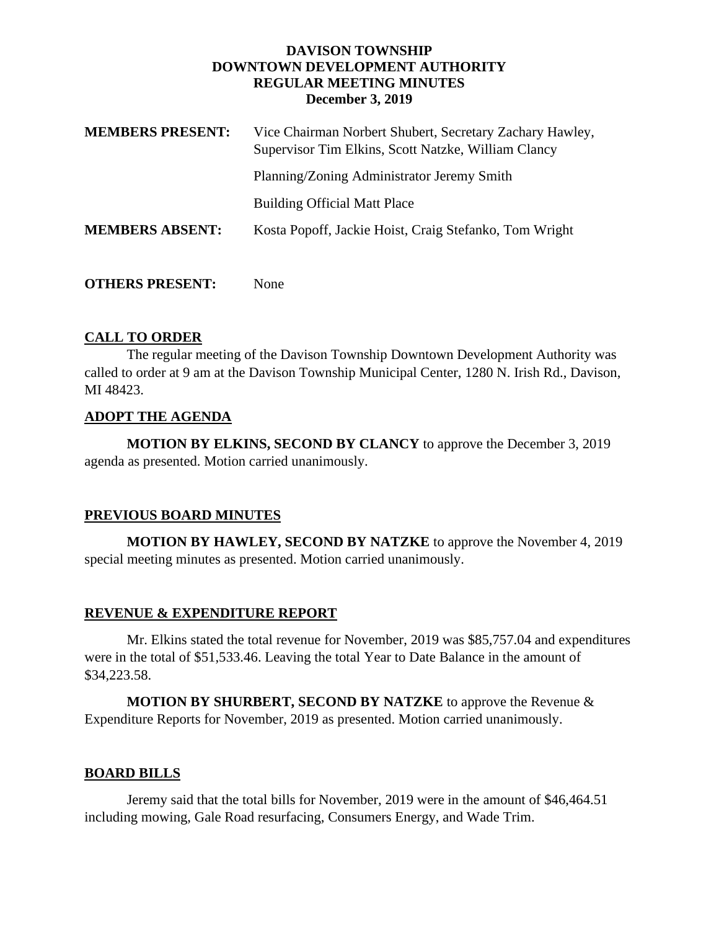### **DAVISON TOWNSHIP DOWNTOWN DEVELOPMENT AUTHORITY REGULAR MEETING MINUTES December 3, 2019**

| <b>MEMBERS PRESENT:</b> | Vice Chairman Norbert Shubert, Secretary Zachary Hawley,<br>Supervisor Tim Elkins, Scott Natzke, William Clancy |
|-------------------------|-----------------------------------------------------------------------------------------------------------------|
|                         | Planning/Zoning Administrator Jeremy Smith                                                                      |
|                         | <b>Building Official Matt Place</b>                                                                             |
| <b>MEMBERS ABSENT:</b>  | Kosta Popoff, Jackie Hoist, Craig Stefanko, Tom Wright                                                          |
|                         |                                                                                                                 |

**OTHERS PRESENT:** None

# **CALL TO ORDER**

The regular meeting of the Davison Township Downtown Development Authority was called to order at 9 am at the Davison Township Municipal Center, 1280 N. Irish Rd., Davison, MI 48423.

# **ADOPT THE AGENDA**

**MOTION BY ELKINS, SECOND BY CLANCY** to approve the December 3, 2019 agenda as presented. Motion carried unanimously.

## **PREVIOUS BOARD MINUTES**

**MOTION BY HAWLEY, SECOND BY NATZKE** to approve the November 4, 2019 special meeting minutes as presented. Motion carried unanimously.

## **REVENUE & EXPENDITURE REPORT**

Mr. Elkins stated the total revenue for November, 2019 was \$85,757.04 and expenditures were in the total of \$51,533.46. Leaving the total Year to Date Balance in the amount of \$34,223.58.

**MOTION BY SHURBERT, SECOND BY NATZKE** to approve the Revenue & Expenditure Reports for November, 2019 as presented. Motion carried unanimously.

## **BOARD BILLS**

Jeremy said that the total bills for November, 2019 were in the amount of \$46,464.51 including mowing, Gale Road resurfacing, Consumers Energy, and Wade Trim.